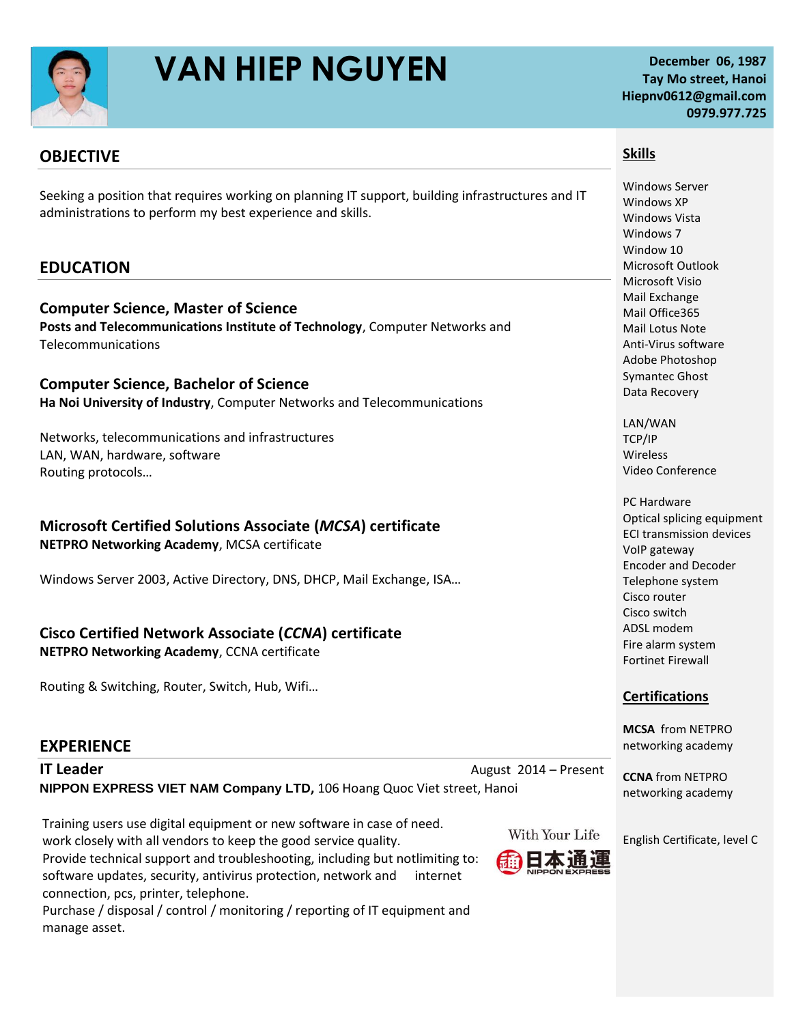

# **VAN HIEP NGUYEN** December 06, 1987

## **Tay Mo street, Hanoi Hiepnv0612@gmail.com 0979.977.725**

### **OBJECTIVE**

Seeking a position that requires working on planning IT support, building infrastructures and IT administrations to perform my best experience and skills.

### **EDUCATION**

**Computer Science, Master of Science Posts and Telecommunications Institute of Technology**, Computer Networks and Telecommunications

**Computer Science, Bachelor of Science Ha Noi University of Industry**, Computer Networks and Telecommunications

Networks, telecommunications and infrastructures LAN, WAN, hardware, software Routing protocols…

# **Microsoft Certified Solutions Associate (***MCSA***) certificate**

**NETPRO Networking Academy**, MCSA certificate

Windows Server 2003, Active Directory, DNS, DHCP, Mail Exchange, ISA…

#### **Cisco Certified Network Associate (***CCNA***) certificate**

**NETPRO Networking Academy**, CCNA certificate

Routing & Switching, Router, Switch, Hub, Wifi…

#### **EXPERIENCE**

**IT Leader August 2014 – Present August 2014 – Present NIPPON EXPRESS VIET NAM Company LTD,** 106 Hoang Quoc Viet street, Hanoi

Training users use digital equipment or new software in case of need. work closely with all vendors to keep the good service quality. Provide technical support and troubleshooting, including but notlimiting to: software updates, security, antivirus protection, network and internet connection, pcs, printer, telephone.

Purchase / disposal / control / monitoring / reporting of IT equipment and manage asset.

**Skills**

Windows Server Windows XP Windows Vista Windows 7 Window 10 Microsoft Outlook Microsoft Visio Mail Exchange Mail Office365 Mail Lotus Note Anti-Virus software Adobe Photoshop Symantec Ghost Data Recovery

LAN/WAN TCP/IP Wireless Video Conference

PC Hardware [Optical splicing equipment](http://www.google.com/url?sa=t&source=web&cd=4&ved=0CCkQFjAD&url=http%3A%2F%2Fwww.bbnint.co.uk%2Finstruments%2Ffusion_splicers.asp&rct=j&q=SpliceMate%20&ei=uFM4TuXoKqzdiALK1ozMDg&usg=AFQjCNFDwyvyPii3bKoXlboXJbBby2GTvg&sig2=u_W8dP5ptf340kMwdDrFXA&cad=rja) ECI transmission devices VoIP gateway Encoder and Decoder Telephone system Cisco router Cisco switch ADSL modem Fire alarm system Fortinet Firewall

#### **Certifications**

**MCSA** from NETPRO networking academy

**CCNA** from NETPRO networking academy

English Certificate, level C

With Your Life